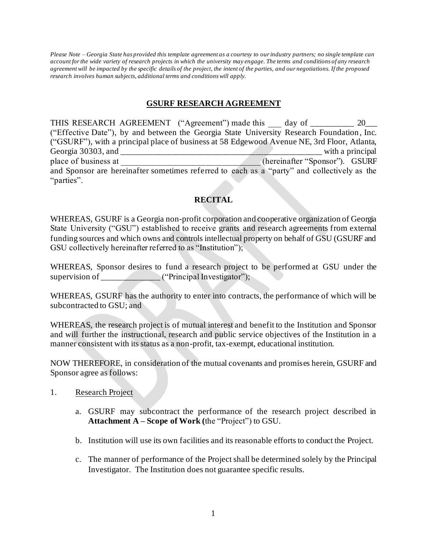*Please Note – Georgia State has provided this template agreement as a courtesy to our industry partners; no single template can account for the wide variety of research projects in which the university may engage. The terms and conditions of any research agreement will be impacted by the specific details of the project, the intent of the parties, and our negotiations. If the proposed research involves human subjects, additional terms and conditions will apply.*

#### **GSURF RESEARCH AGREEMENT**

THIS RESEARCH AGREEMENT ("Agreement") made this day of \_\_\_\_\_\_\_\_\_ 20\_\_\_ ("Effective Date"), by and between the Georgia State University Research Foundation, Inc. ("GSURF"), with a principal place of business at 58 Edgewood Avenue NE, 3rd Floor, Atlanta, Georgia 30303, and \_\_\_\_\_\_\_\_\_\_\_\_\_\_\_\_\_\_\_\_\_\_\_\_\_\_\_\_\_\_\_\_\_\_\_\_\_\_\_\_\_\_\_\_\_\_\_\_ with a principal place of business at \_\_\_\_\_\_\_\_\_\_\_\_\_\_\_\_\_\_\_\_\_\_\_\_\_\_\_\_\_\_\_\_\_ (hereinafter "Sponsor"). GSURF and Sponsor are hereinafter sometimes referred to each as a "party" and collectively as the "parties".

### **RECITAL**

WHEREAS, GSURF is a Georgia non-profit corporation and cooperative organization of Georgia State University ("GSU") established to receive grants and research agreements from external funding sources and which owns and controls intellectual property on behalf of GSU (GSURF and GSU collectively hereinafter referred to as "Institution");

WHEREAS, Sponsor desires to fund a research project to be performed at GSU under the supervision of  $($ "Principal Investigator");

WHEREAS, GSURF has the authority to enter into contracts, the performance of which will be subcontracted to GSU; and

WHEREAS, the research project is of mutual interest and benefit to the Institution and Sponsor and will further the instructional, research and public service objectives of the Institution in a manner consistent with its status as a non-profit, tax-exempt, educational institution.

NOW THEREFORE, in consideration of the mutual covenants and promises herein, GSURF and Sponsor agree as follows:

- 1. Research Project
	- a. GSURF may subcontract the performance of the research project described in **Attachment A – Scope of Work (**the "Project") to GSU.
	- b. Institution will use its own facilities and its reasonable efforts to conduct the Project.
	- c. The manner of performance of the Project shall be determined solely by the Principal Investigator. The Institution does not guarantee specific results.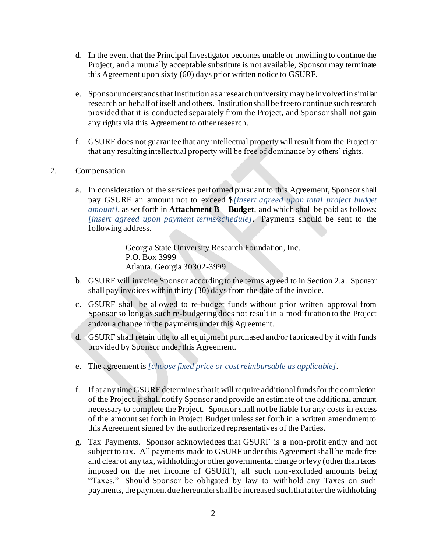- d. In the event that the Principal Investigator becomes unable or unwilling to continue the Project, and a mutually acceptable substitute is not available, Sponsor may terminate this Agreement upon sixty (60) days prior written notice to GSURF.
- e. Sponsor understands that Institution as a research university may be involved in similar research on behalf of itself and others. Institutionshall be free to continue such research provided that it is conducted separately from the Project, and Sponsor shall not gain any rights via this Agreement to other research.
- f. GSURF does not guarantee that any intellectual property will result from the Project or that any resulting intellectual property will be free of dominance by others' rights.

#### 2. Compensation

a. In consideration of the services performed pursuant to this Agreement, Sponsor shall pay GSURF an amount not to exceed \$*[insert agreed upon total project budget amount]*, as set forth in **Attachment B – Budget**, and which shall be paid as follows: *[insert agreed upon payment terms/schedule]*. Payments should be sent to the following address.

> Georgia State University Research Foundation, Inc. P.O. Box 3999 Atlanta, Georgia 30302-3999

- b. GSURF will invoice Sponsor according to the terms agreed to in Section 2.a. Sponsor shall pay invoices within thirty (30) days from the date of the invoice.
- c. GSURF shall be allowed to re-budget funds without prior written approval from Sponsor so long as such re-budgeting does not result in a modification to the Project and/or a change in the payments under this Agreement.
- d. GSURF shall retain title to all equipment purchased and/or fabricated by it with funds provided by Sponsor under this Agreement.
- e. The agreement is *[choose fixed price or cost reimbursable as applicable]*.
- f. If at any time GSURF determines that it will require additional funds for the completion of the Project, it shall notify Sponsor and provide an estimate of the additional amount necessary to complete the Project. Sponsor shall not be liable for any costs in excess of the amount set forth in Project Budget unless set forth in a written amendment to this Agreement signed by the authorized representatives of the Parties.
- g. Tax Payments. Sponsor acknowledges that GSURF is a non-profit entity and not subject to tax. All payments made to GSURF under this Agreement shall be made free and clear of any tax, withholding or other governmental charge or levy (other than taxes imposed on the net income of GSURF), all such non-excluded amounts being "Taxes." Should Sponsor be obligated by law to withhold any Taxes on such payments, the payment due hereunder shall be increased such that after the withholding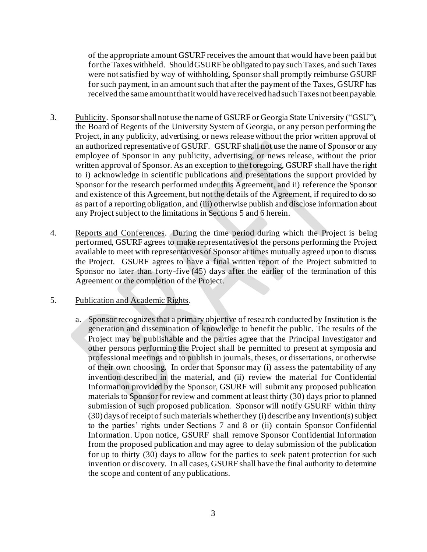of the appropriate amount GSURF receives the amount that would have been paid but for the Taxes withheld. Should GSURF be obligated to pay such Taxes, and such Taxes were not satisfied by way of withholding, Sponsor shall promptly reimburse GSURF for such payment, in an amount such that after the payment of the Taxes, GSURF has received the same amount that it would have received had such Taxes not been payable.

- 3. Publicity. Sponsor shall not use the name of GSURF or Georgia State University ("GSU"), the Board of Regents of the University System of Georgia, or any person performing the Project, in any publicity, advertising, or news release without the prior written approval of an authorized representative of GSURF. GSURF shall not use the name of Sponsor or any employee of Sponsor in any publicity, advertising, or news release, without the prior written approval of Sponsor. As an exception to the foregoing, GSURF shall have the right to i) acknowledge in scientific publications and presentations the support provided by Sponsor for the research performed under this Agreement, and ii) reference the Sponsor and existence of this Agreement, but not the details of the Agreement, if required to do so as part of a reporting obligation, and (iii) otherwise publish and disclose information about any Project subject to the limitations in Sections 5 and 6 herein.
- 4. Reports and Conferences. During the time period during which the Project is being performed, GSURF agrees to make representatives of the persons performing the Project available to meet with representatives of Sponsor at times mutually agreed upon to discuss the Project. GSURF agrees to have a final written report of the Project submitted to Sponsor no later than forty-five (45) days after the earlier of the termination of this Agreement or the completion of the Project.

#### 5. Publication and Academic Rights.

a. Sponsor recognizes that a primary objective of research conducted by Institution is the generation and dissemination of knowledge to benefit the public. The results of the Project may be publishable and the parties agree that the Principal Investigator and other persons performing the Project shall be permitted to present at symposia and professional meetings and to publish in journals, theses, or dissertations, or otherwise of their own choosing. In order that Sponsor may (i) assess the patentability of any invention described in the material, and (ii) review the material for Confidential Information provided by the Sponsor, GSURF will submit any proposed publication materials to Sponsor for review and comment at least thirty (30) days prior to planned submission of such proposed publication. Sponsor will notify GSURF within thirty  $(30)$  days of receipt of such materials whether they (i) describe any Invention(s) subject to the parties' rights under Sections 7 and 8 or (ii) contain Sponsor Confidential Information. Upon notice, GSURF shall remove Sponsor Confidential Information from the proposed publication and may agree to delay submission of the publication for up to thirty (30) days to allow for the parties to seek patent protection for such invention or discovery. In all cases, GSURF shall have the final authority to determine the scope and content of any publications.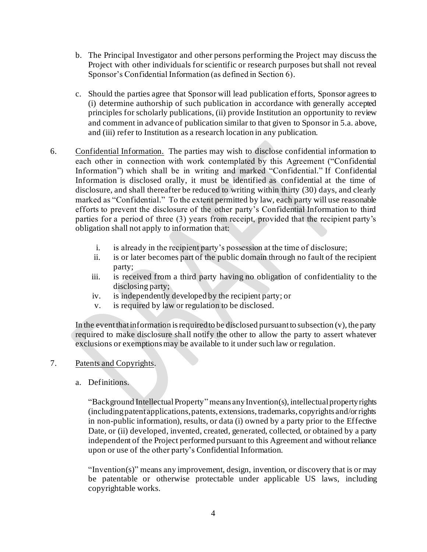- b. The Principal Investigator and other persons performing the Project may discuss the Project with other individuals for scientific or research purposes but shall not reveal Sponsor's Confidential Information (as defined in Section 6).
- c. Should the parties agree that Sponsor will lead publication efforts, Sponsor agrees to (i) determine authorship of such publication in accordance with generally accepted principles for scholarly publications, (ii) provide Institution an opportunity to review and comment in advance of publication similar to that given to Sponsor in 5.a. above, and (iii) refer to Institution as a research location in any publication.
- 6. Confidential Information. The parties may wish to disclose confidential information to each other in connection with work contemplated by this Agreement ("Confidential Information") which shall be in writing and marked "Confidential." If Confidential Information is disclosed orally, it must be identified as confidential at the time of disclosure, and shall thereafter be reduced to writing within thirty (30) days, and clearly marked as "Confidential." To the extent permitted by law, each party will use reasonable efforts to prevent the disclosure of the other party's Confidential Information to third parties for a period of three (3) years from receipt, provided that the recipient party's obligation shall not apply to information that:
	- i. is already in the recipient party's possession at the time of disclosure;
	- ii. is or later becomes part of the public domain through no fault of the recipient party;
	- iii. is received from a third party having no obligation of confidentiality to the disclosing party;
	- iv. is independently developed by the recipient party; or
	- v. is required by law or regulation to be disclosed.

In the event that information is required to be disclosed pursuant to subsection  $(v)$ , the party required to make disclosure shall notify the other to allow the party to assert whatever exclusions or exemptions may be available to it under such law or regulation.

#### 7. Patents and Copyrights.

a. Definitions.

"Background Intellectual Property" means any Invention(s), intellectual property rights (including patent applications, patents, extensions, trademarks, copyrights and/or rights in non-public information), results, or data (i) owned by a party prior to the Effective Date, or (ii) developed, invented, created, generated, collected, or obtained by a party independent of the Project performed pursuant to this Agreement and without reliance upon or use of the other party's Confidential Information.

"Invention(s)" means any improvement, design, invention, or discovery that is or may be patentable or otherwise protectable under applicable US laws, including copyrightable works.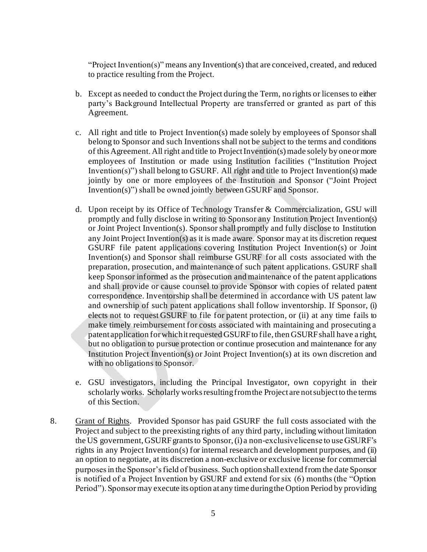"Project Invention(s)" means any Invention(s) that are conceived, created, and reduced to practice resulting from the Project.

- b. Except as needed to conduct the Project during the Term, no rights or licenses to either party's Background Intellectual Property are transferred or granted as part of this Agreement.
- c. All right and title to Project Invention(s) made solely by employees of Sponsor shall belong to Sponsor and such Inventions shall not be subject to the terms and conditions of this Agreement. All right and title to Project Invention(s)made solely by one or more employees of Institution or made using Institution facilities ("Institution Project Invention(s)") shall belong to GSURF. All right and title to Project Invention(s) made jointly by one or more employees of the Institution and Sponsor ("Joint Project Invention(s)") shall be owned jointly between GSURF and Sponsor.
- d. Upon receipt by its Office of Technology Transfer & Commercialization, GSU will promptly and fully disclose in writing to Sponsor any Institution Project Invention(s) or Joint Project Invention(s). Sponsor shall promptly and fully disclose to Institution any Joint Project Invention(s) as it is made aware. Sponsor may at its discretion request GSURF file patent applications covering Institution Project Invention(s) or Joint Invention(s) and Sponsor shall reimburse GSURF for all costs associated with the preparation, prosecution, and maintenance of such patent applications. GSURF shall keep Sponsor informed as the prosecution and maintenance of the patent applications and shall provide or cause counsel to provide Sponsor with copies of related patent correspondence. Inventorship shall be determined in accordance with US patent law and ownership of such patent applications shall follow inventorship. If Sponsor, (i) elects not to request GSURF to file for patent protection, or (ii) at any time fails to make timely reimbursement for costs associated with maintaining and prosecuting a patent application for which it requested GSURF to file, then GSURF shall have a right, but no obligation to pursue protection or continue prosecution and maintenance for any Institution Project Invention(s) or Joint Project Invention(s) at its own discretion and with no obligations to Sponsor.
- e. GSU investigators, including the Principal Investigator, own copyright in their scholarly works. Scholarly works resulting from the Project are not subject to the terms of this Section.
- 8. Grant of Rights. Provided Sponsor has paid GSURF the full costs associated with the Project and subject to the preexisting rights of any third party, including without limitation the US government, GSURFgrants to Sponsor,(i) a non-exclusive license to use GSURF's rights in any Project Invention(s) for internal research and development purposes, and (ii) an option to negotiate, at its discretion a non-exclusive or exclusive license for commercial purposes in the Sponsor's field of business. Such option shall extend from the date Sponsor is notified of a Project Invention by GSURF and extend for six (6) months (the "Option Period"). Sponsor may execute its option at any time during the Option Period by providing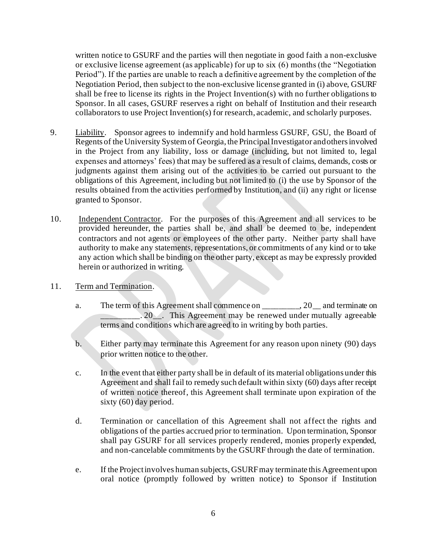written notice to GSURF and the parties will then negotiate in good faith a non-exclusive or exclusive license agreement (as applicable) for up to six (6) months (the "Negotiation Period"). If the parties are unable to reach a definitive agreement by the completion of the Negotiation Period, then subject to the non-exclusive license granted in (i) above, GSURF shall be free to license its rights in the Project Invention(s) with no further obligations to Sponsor. In all cases, GSURF reserves a right on behalf of Institution and their research collaborators to use Project Invention(s) for research, academic, and scholarly purposes.

- 9. Liability. Sponsor agrees to indemnify and hold harmless GSURF, GSU, the Board of Regents of the University System of Georgia, the Principal Investigator and others involved in the Project from any liability, loss or damage (including, but not limited to, legal expenses and attorneys' fees) that may be suffered as a result of claims, demands, costs or judgments against them arising out of the activities to be carried out pursuant to the obligations of this Agreement, including but not limited to (i) the use by Sponsor of the results obtained from the activities performed by Institution, and (ii) any right or license granted to Sponsor.
- 10. Independent Contractor. For the purposes of this Agreement and all services to be provided hereunder, the parties shall be, and shall be deemed to be, independent contractors and not agents or employees of the other party. Neither party shall have authority to make any statements, representations, or commitments of any kind or to take any action which shall be binding on the other party, except as may be expressly provided herein or authorized in writing.
- 11. Term and Termination.
	- a. The term of this Agreement shall commence on \_\_\_\_\_\_\_\_\_, 20\_\_ and terminate on . 20<sub>\_\_\_</sub>. This Agreement may be renewed under mutually agreeable terms and conditions which are agreed to in writing by both parties.
	- b. Either party may terminate this Agreement for any reason upon ninety (90) days prior written notice to the other.
	- c. In the event that either party shall be in default of its material obligations under this Agreement and shall fail to remedy such default within sixty (60) days after receipt of written notice thereof, this Agreement shall terminate upon expiration of the sixty (60) day period.
	- d. Termination or cancellation of this Agreement shall not affect the rights and obligations of the parties accrued prior to termination. Upon termination, Sponsor shall pay GSURF for all services properly rendered, monies properly expended, and non-cancelable commitments by the GSURF through the date of termination.
	- e. If the Project involves human subjects, GSURFmay terminate this Agreement upon oral notice (promptly followed by written notice) to Sponsor if Institution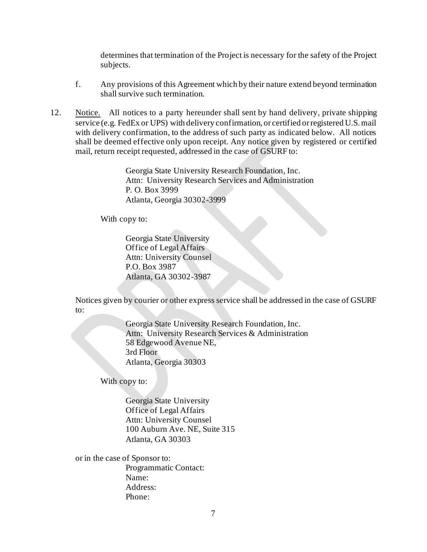determines that termination of the Project is necessary for the safety of the Project subjects.

- f. Any provisions of this Agreement which by their nature extend beyond termination shall survive such termination.
- 12. Notice. All notices to a party hereunder shall sent by hand delivery, private shipping service (e.g. FedEx or UPS) with delivery confirmation, or certified or registered U.S. mail with delivery confirmation, to the address of such party as indicated below. All notices shall be deemed effective only upon receipt. Any notice given by registered or certified mail, return receipt requested, addressed in the case of GSURF to:

Georgia State University Research Foundation, Inc. Attn: University Research Services and Administration P. O. Box 3999 Atlanta, Georgia 30302-3999

With copy to:

Georgia State University Office of Legal Affairs Attn: University Counsel P.O. Box 3987 Atlanta, GA 30302-3987

Notices given by courier or other express service shall be addressed in the case of GSURF to:

> Georgia State University Research Foundation, Inc. Attn: University Research Services & Administration 58 Edgewood Avenue NE, 3rd Floor Atlanta, Georgia 30303

With copy to:

Georgia State University Office of Legal Affairs Attn: University Counsel 100 Auburn Ave. NE, Suite 315 Atlanta, GA 30303

or in the case of Sponsor to: Programmatic Contact: Name: Address: Phone: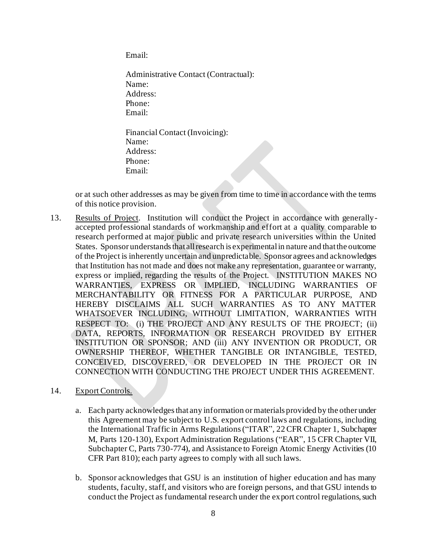Email:

Administrative Contact (Contractual): Name: Address: Phone: Email: Financial Contact (Invoicing): Name: Address: Phone: Email:

or at such other addresses as may be given from time to time in accordance with the terms of this notice provision.

13. Results of Project. Institution will conduct the Project in accordance with generallyaccepted professional standards of workmanship and effort at a quality comparable to research performed at major public and private research universities within the United States. Sponsor understands that all research is experimental in nature and that the outcome of the Project is inherently uncertain and unpredictable. Sponsor agrees and acknowledges that Institution has not made and does not make any representation, guarantee or warranty, express or implied, regarding the results of the Project. INSTITUTION MAKES NO WARRANTIES, EXPRESS OR IMPLIED, INCLUDING WARRANTIES OF MERCHANTABILITY OR FITNESS FOR A PARTICULAR PURPOSE, AND HEREBY DISCLAIMS ALL SUCH WARRANTIES AS TO ANY MATTER WHATSOEVER INCLUDING, WITHOUT LIMITATION, WARRANTIES WITH RESPECT TO: (i) THE PROJECT AND ANY RESULTS OF THE PROJECT; (ii) DATA, REPORTS, INFORMATION OR RESEARCH PROVIDED BY EITHER INSTITUTION OR SPONSOR; AND (iii) ANY INVENTION OR PRODUCT, OR OWNERSHIP THEREOF, WHETHER TANGIBLE OR INTANGIBLE, TESTED, CONCEIVED, DISCOVERED, OR DEVELOPED IN THE PROJECT OR IN CONNECTION WITH CONDUCTING THE PROJECT UNDER THIS AGREEMENT.

#### 14. Export Controls.

- a. Each party acknowledges that any information or materials provided by the other under this Agreement may be subject to U.S. export control laws and regulations, including the International Traffic in Arms Regulations ("ITAR", 22 CFR Chapter 1, Subchapter M, Parts 120-130), Export Administration Regulations ("EAR", 15 CFR Chapter VII, Subchapter C, Parts 730-774), and Assistance to Foreign Atomic Energy Activities (10 CFR Part 810); each party agrees to comply with all such laws.
- b. Sponsor acknowledges that GSU is an institution of higher education and has many students, faculty, staff, and visitors who are foreign persons, and that GSU intends to conduct the Project as fundamental research under the export control regulations, such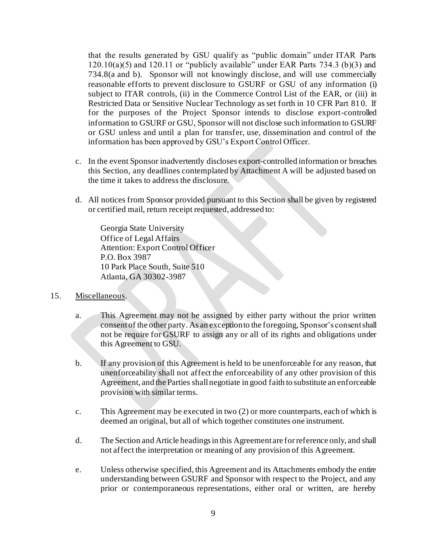that the results generated by GSU qualify as "public domain" under ITAR Parts  $120.10(a)(5)$  and  $120.11$  or "publicly available" under EAR Parts 734.3 (b)(3) and 734.8(a and b). Sponsor will not knowingly disclose, and will use commercially reasonable efforts to prevent disclosure to GSURF or GSU of any information (i) subject to ITAR controls, (ii) in the Commerce Control List of the EAR, or (iii) in Restricted Data or Sensitive Nuclear Technology as set forth in 10 CFR Part 810. If for the purposes of the Project Sponsor intends to disclose export-controlled information to GSURF or GSU, Sponsor will not disclose such information to GSURF or GSU unless and until a plan for transfer, use, dissemination and control of the information has been approved by GSU's Export Control Officer.

- c. In the event Sponsor inadvertently discloses export-controlled information or breaches this Section, any deadlines contemplated by Attachment A will be adjusted based on the time it takes to address the disclosure.
- d. All notices from Sponsor provided pursuant to this Section shall be given by registered or certified mail, return receipt requested, addressed to:

Georgia State University Office of Legal Affairs Attention: Export Control Officer P.O. Box 3987 10 Park Place South, Suite 510 Atlanta, GA 30302-3987

#### 15. Miscellaneous.

- a. This Agreement may not be assigned by either party without the prior written consent of the other party. As an exception to the foregoing, Sponsor's consent shall not be require for GSURF to assign any or all of its rights and obligations under this Agreement to GSU.
- b. If any provision of this Agreement is held to be unenforceable for any reason, that unenforceability shall not affect the enforceability of any other provision of this Agreement, and the Parties shall negotiate in good faith to substitute an enforceable provision with similar terms.
- c. This Agreement may be executed in two (2) or more counterparts, each of which is deemed an original, but all of which together constitutes one instrument.
- d. The Section and Article headings in this Agreement are for reference only, and shall not affect the interpretation or meaning of any provision of this Agreement.
- e. Unless otherwise specified, this Agreement and its Attachments embody the entire understanding between GSURF and Sponsor with respect to the Project, and any prior or contemporaneous representations, either oral or written, are hereby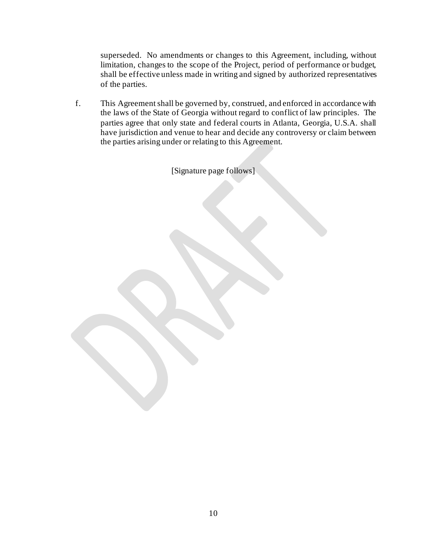superseded. No amendments or changes to this Agreement, including, without limitation, changes to the scope of the Project, period of performance or budget, shall be effective unless made in writing and signed by authorized representatives of the parties.

f. This Agreement shall be governed by, construed, and enforced in accordance with the laws of the State of Georgia without regard to conflict of law principles. The parties agree that only state and federal courts in Atlanta, Georgia, U.S.A. shall have jurisdiction and venue to hear and decide any controversy or claim between the parties arising under or relating to this Agreement.

[Signature page follows]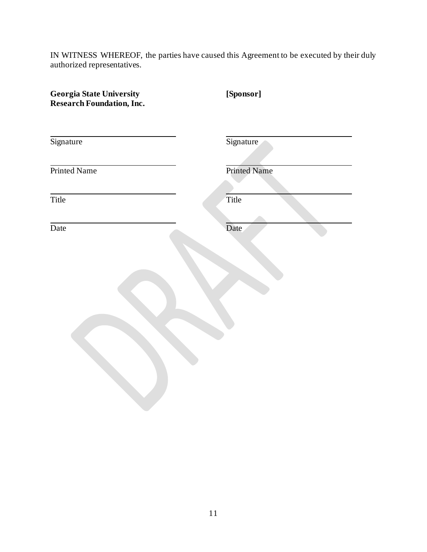IN WITNESS WHEREOF, the parties have caused this Agreement to be executed by their duly authorized representatives.

| <b>Georgia State University</b><br><b>Research Foundation, Inc.</b> | [Sponsor]           |
|---------------------------------------------------------------------|---------------------|
| Signature                                                           | Signature           |
| Printed Name                                                        | <b>Printed Name</b> |
| Title                                                               | Title               |
| Date                                                                | Date                |
|                                                                     |                     |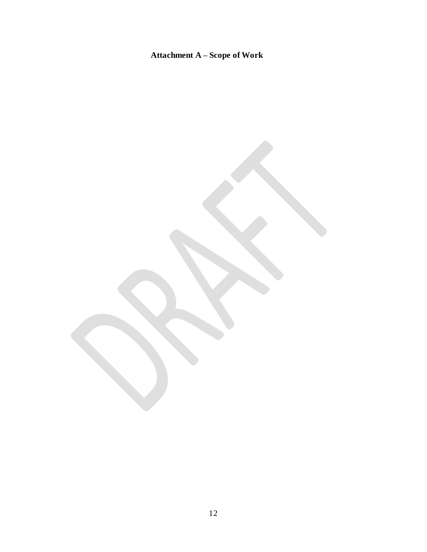## **Attachment A – Scope of Work**